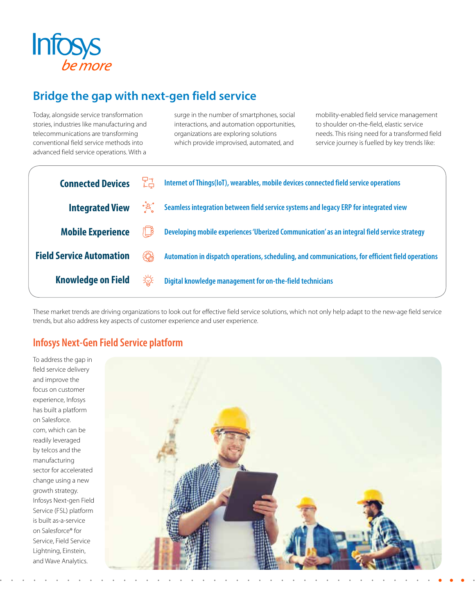

# **Bridge the gap with next-gen field service**

Today, alongside service transformation stories, industries like manufacturing and telecommunications are transforming conventional field service methods into advanced field service operations. With a

surge in the number of smartphones, social interactions, and automation opportunities, organizations are exploring solutions which provide improvised, automated, and

mobility-enabled field service management to shoulder on-the-field, elastic service needs. This rising need for a transformed field service journey is fuelled by key trends like:

| <b>Connected Devices</b>        | 다구<br>나다   | Internet of Things(IoT), wearables, mobile devices connected field service operations             |
|---------------------------------|------------|---------------------------------------------------------------------------------------------------|
| <b>Integrated View</b>          | ૰૾ૣૹૺ૾     | Seamless integration between field service systems and legacy ERP for integrated view             |
| <b>Mobile Experience</b>        |            | Developing mobile experiences 'Uberized Communication' as an integral field service strategy      |
| <b>Field Service Automation</b> | <b>EQ)</b> | Automation in dispatch operations, scheduling, and communications, for efficient field operations |
| <b>Knowledge on Field</b>       | 栥          | Digital knowledge management for on-the-field technicians                                         |

These market trends are driving organizations to look out for effective field service solutions, which not only help adapt to the new-age field service trends, but also address key aspects of customer experience and user experience.

## **Infosys Next-Gen Field Service platform**

To address the gap in field service delivery and improve the focus on customer experience, Infosys has built a platform on Salesforce. com, which can be readily leveraged by telcos and the manufacturing sector for accelerated change using a new growth strategy. Infosys Next-gen Field Service (FSL) platform is built as-a-service on Salesforce® for Service, Field Service Lightning, Einstein, and Wave Analytics.